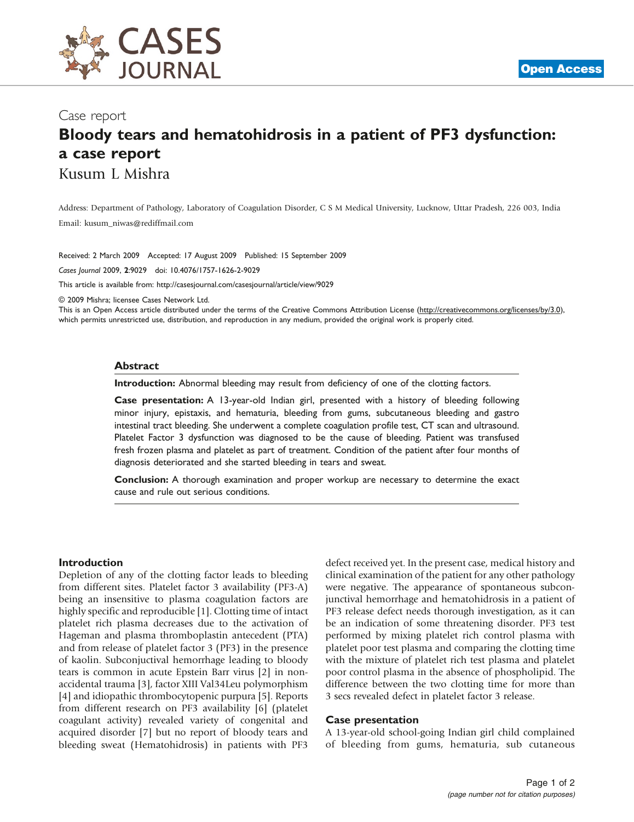

## Case report

# Bloody tears and hematohidrosis in a patient of PF3 dysfunction: a case report Kusum L Mishra

Address: Department of Pathology, Laboratory of Coagulation Disorder, C S M Medical University, Lucknow, Uttar Pradesh, 226 003, India Email: [kusum\\_niwas@rediffmail.com](mailto:kusum_niwas@rediffmail.com)

Received: 2 March 2009 Accepted: 17 August 2009 Published: 15 September 2009

Cases Journal 2009, 2:9029 doi: 10.4076/1757-1626-2-9029

This article is available from:<http://casesjournal.com/casesjournal/article/view/9029>

© 2009 Mishra; licensee Cases Network Ltd.

This is an Open Access article distributed under the terms of the Creative Commons Attribution License [\(http://creativecommons.org/licenses/by/3.0\)](http://creativecommons.org/licenses/by/3.0), which permits unrestricted use, distribution, and reproduction in any medium, provided the original work is properly cited.

#### Abstract

Introduction: Abnormal bleeding may result from deficiency of one of the clotting factors.

Case presentation: A 13-year-old Indian girl, presented with a history of bleeding following minor injury, epistaxis, and hematuria, bleeding from gums, subcutaneous bleeding and gastro intestinal tract bleeding. She underwent a complete coagulation profile test, CT scan and ultrasound. Platelet Factor 3 dysfunction was diagnosed to be the cause of bleeding. Patient was transfused fresh frozen plasma and platelet as part of treatment. Condition of the patient after four months of diagnosis deteriorated and she started bleeding in tears and sweat.

Conclusion: A thorough examination and proper workup are necessary to determine the exact cause and rule out serious conditions.

#### Introduction

Depletion of any of the clotting factor leads to bleeding from different sites. Platelet factor 3 availability (PF3-A) being an insensitive to plasma coagulation factors are highly specific and reproducible [[1](#page-1-0)]. Clotting time of intact platelet rich plasma decreases due to the activation of Hageman and plasma thromboplastin antecedent (PTA) and from release of platelet factor 3 (PF3) in the presence of kaolin. Subconjuctival hemorrhage leading to bloody tears is common in acute Epstein Barr virus [[2](#page-1-0)] in nonaccidental trauma [\[3\]](#page-1-0), factor XIII Val34Leu polymorphism [\[4](#page-1-0)] and idiopathic thrombocytopenic purpura [[5](#page-1-0)]. Reports from different research on PF3 availability [[6](#page-1-0)] (platelet coagulant activity) revealed variety of congenital and acquired disorder [\[7](#page-1-0)] but no report of bloody tears and bleeding sweat (Hematohidrosis) in patients with PF3

defect received yet. In the present case, medical history and clinical examination of the patient for any other pathology were negative. The appearance of spontaneous subconjunctival hemorrhage and hematohidrosis in a patient of PF3 release defect needs thorough investigation, as it can be an indication of some threatening disorder. PF3 test performed by mixing platelet rich control plasma with platelet poor test plasma and comparing the clotting time with the mixture of platelet rich test plasma and platelet poor control plasma in the absence of phospholipid. The difference between the two clotting time for more than 3 secs revealed defect in platelet factor 3 release.

#### Case presentation

A 13-year-old school-going Indian girl child complained of bleeding from gums, hematuria, sub cutaneous